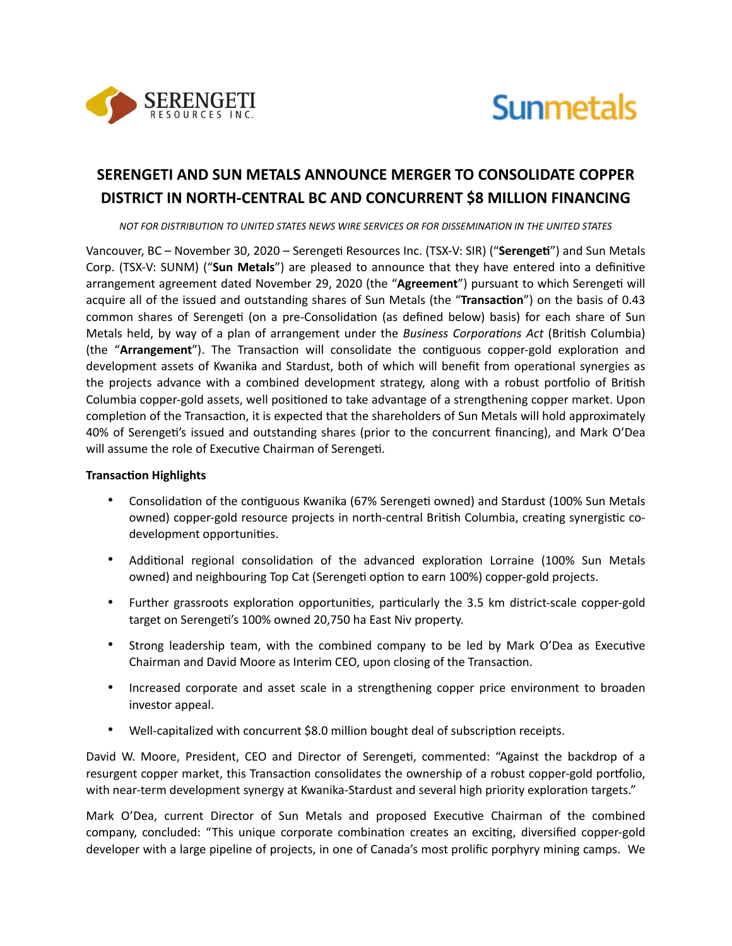



# **SERENGETI AND SUN METALS ANNOUNCE MERGER TO CONSOLIDATE COPPER DISTRICT IN NORTH-CENTRAL BC AND CONCURRENT \$8 MILLION FINANCING**

*NOT FOR DISTRIBUTION TO UNITED STATES NEWS WIRE SERVICES OR FOR DISSEMINATION IN THE UNITED STATES* 

Vancouver, BC – November 30, 2020 – Serengeti Resources Inc. (TSX-V: SIR) ("Serengeti") and Sun Metals Corp. (TSX-V: SUNM) ("Sun Metals") are pleased to announce that they have entered into a definitive arrangement agreement dated November 29, 2020 (the "Agreement") pursuant to which Serengeti will acquire all of the issued and outstanding shares of Sun Metals (the "Transaction") on the basis of 0.43 common shares of Serengeti (on a pre-Consolidation (as defined below) basis) for each share of Sun Metals held, by way of a plan of arrangement under the *Business Corporations Act* (British Columbia) (the "**Arrangement**"). The Transaction will consolidate the contiguous copper-gold exploration and development assets of Kwanika and Stardust, both of which will benefit from operational synergies as the projects advance with a combined development strategy, along with a robust portfolio of British Columbia copper-gold assets, well positioned to take advantage of a strengthening copper market. Upon completion of the Transaction, it is expected that the shareholders of Sun Metals will hold approximately 40% of Serengeti's issued and outstanding shares (prior to the concurrent financing), and Mark O'Dea will assume the role of Executive Chairman of Serengeti.

#### **Transaction Highlights**

- Consolidation of the contiguous Kwanika (67% Serengeti owned) and Stardust (100% Sun Metals owned) copper-gold resource projects in north-central British Columbia, creating synergistic codevelopment opportunities.
- Additional regional consolidation of the advanced exploration Lorraine (100% Sun Metals owned) and neighbouring Top Cat (Serengeti option to earn 100%) copper-gold projects.
- Further grassroots exploration opportunities, particularly the 3.5 km district-scale copper-gold target on Serengeti's 100% owned 20,750 ha East Niv property.
- Strong leadership team, with the combined company to be led by Mark O'Dea as Executive Chairman and David Moore as Interim CEO, upon closing of the Transaction.
- Increased corporate and asset scale in a strengthening copper price environment to broaden investor appeal.
- Well-capitalized with concurrent \$8.0 million bought deal of subscription receipts.

David W. Moore, President, CEO and Director of Serengeti, commented: "Against the backdrop of a resurgent copper market, this Transaction consolidates the ownership of a robust copper-gold portfolio, with near-term development synergy at Kwanika-Stardust and several high priority exploration targets."

Mark O'Dea, current Director of Sun Metals and proposed Executive Chairman of the combined company, concluded: "This unique corporate combination creates an exciting, diversified copper-gold developer with a large pipeline of projects, in one of Canada's most prolific porphyry mining camps. We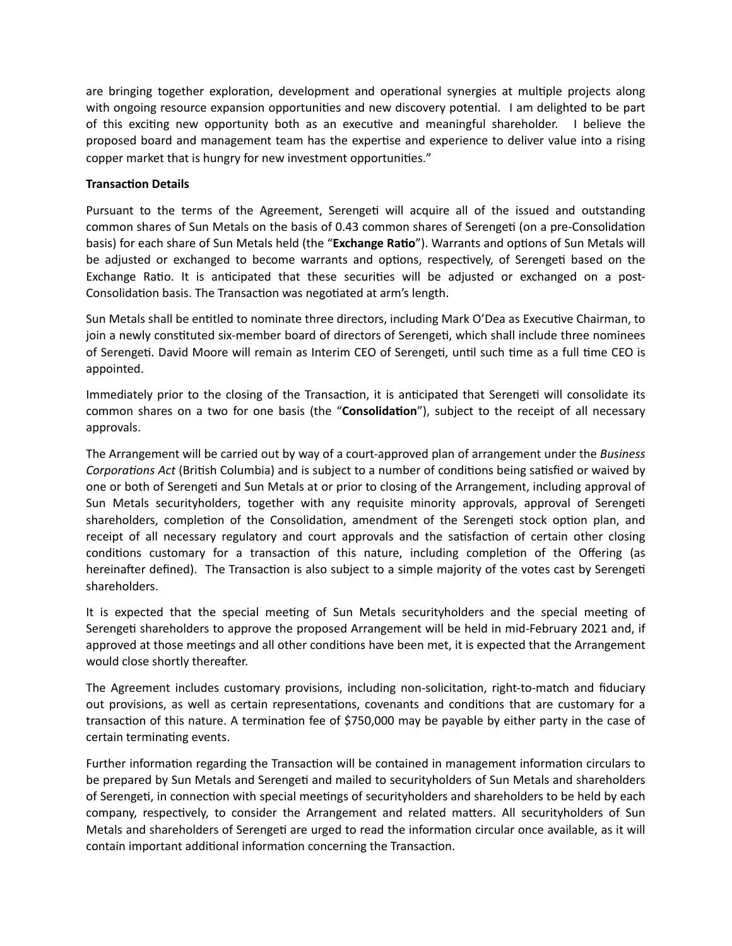are bringing together exploration, development and operational synergies at multiple projects along with ongoing resource expansion opportunities and new discovery potential. I am delighted to be part of this exciting new opportunity both as an executive and meaningful shareholder. I believe the proposed board and management team has the expertise and experience to deliver value into a rising copper market that is hungry for new investment opportunities."

# **Transaction Details**

Pursuant to the terms of the Agreement, Serengeti will acquire all of the issued and outstanding common shares of Sun Metals on the basis of 0.43 common shares of Serengeti (on a pre-Consolidation basis) for each share of Sun Metals held (the "Exchange Ratio"). Warrants and options of Sun Metals will be adjusted or exchanged to become warrants and options, respectively, of Serengeti based on the Exchange Ratio. It is anticipated that these securities will be adjusted or exchanged on a post-Consolidation basis. The Transaction was negotiated at arm's length.

Sun Metals shall be entitled to nominate three directors, including Mark O'Dea as Executive Chairman, to join a newly constituted six-member board of directors of Serengeti, which shall include three nominees of Serengeti. David Moore will remain as Interim CEO of Serengeti, until such time as a full time CEO is appointed.

Immediately prior to the closing of the Transaction, it is anticipated that Serengeti will consolidate its common shares on a two for one basis (the "Consolidation"), subject to the receipt of all necessary approvals.

The Arrangement will be carried out by way of a court-approved plan of arrangement under the *Business Corporations Act* (British Columbia) and is subject to a number of conditions being satisfied or waived by one or both of Serengeti and Sun Metals at or prior to closing of the Arrangement, including approval of Sun Metals securityholders, together with any requisite minority approvals, approval of Serengeti shareholders, completion of the Consolidation, amendment of the Serengeti stock option plan, and receipt of all necessary regulatory and court approvals and the satisfaction of certain other closing conditions customary for a transaction of this nature, including completion of the Offering (as hereinafter defined). The Transaction is also subject to a simple majority of the votes cast by Serengeti shareholders.

It is expected that the special meeting of Sun Metals securityholders and the special meeting of Serengeti shareholders to approve the proposed Arrangement will be held in mid-February 2021 and, if approved at those meetings and all other conditions have been met, it is expected that the Arrangement would close shortly thereafter.

The Agreement includes customary provisions, including non-solicitation, right-to-match and fiduciary out provisions, as well as certain representations, covenants and conditions that are customary for a transaction of this nature. A termination fee of \$750,000 may be payable by either party in the case of certain terminating events.

Further information regarding the Transaction will be contained in management information circulars to be prepared by Sun Metals and Serengeti and mailed to securityholders of Sun Metals and shareholders of Serengeti, in connection with special meetings of securityholders and shareholders to be held by each company, respectively, to consider the Arrangement and related matters. All securityholders of Sun Metals and shareholders of Serengeti are urged to read the information circular once available, as it will contain important additional information concerning the Transaction.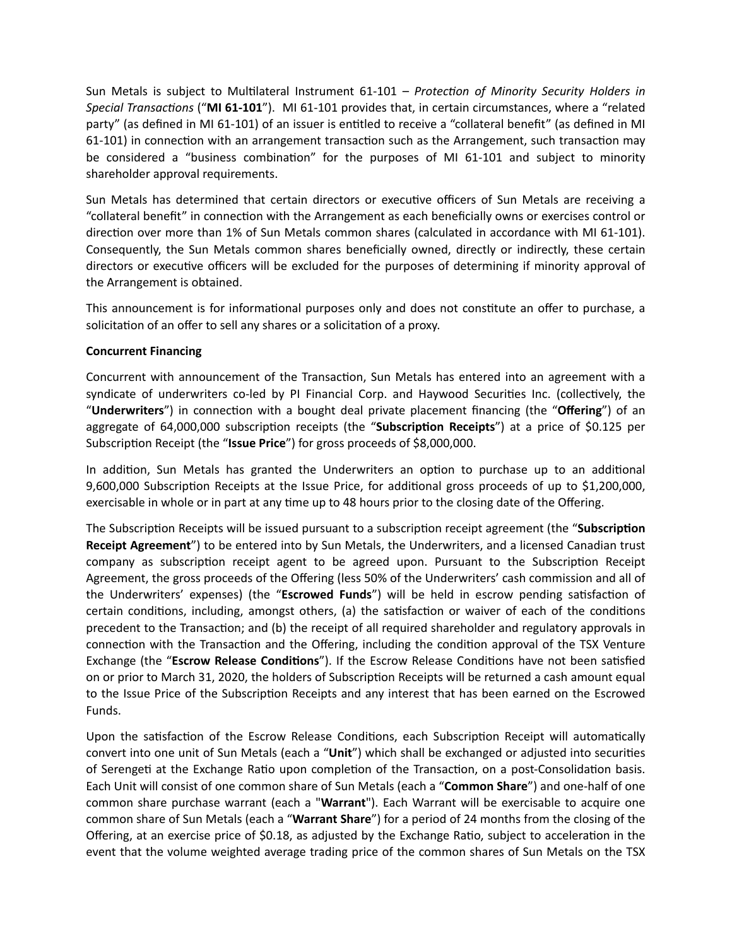Sun Metals is subject to Multilateral Instrument 61-101 – *Protection of Minority Security Holders in Special Transactions* ("MI 61-101"). MI 61-101 provides that, in certain circumstances, where a "related party" (as defined in MI 61-101) of an issuer is entitled to receive a "collateral benefit" (as defined in MI 61-101) in connection with an arrangement transaction such as the Arrangement, such transaction may be considered a "business combination" for the purposes of MI 61-101 and subject to minority shareholder approval requirements.

Sun Metals has determined that certain directors or executive officers of Sun Metals are receiving a "collateral benefit" in connection with the Arrangement as each beneficially owns or exercises control or direction over more than 1% of Sun Metals common shares (calculated in accordance with MI 61-101). Consequently, the Sun Metals common shares beneficially owned, directly or indirectly, these certain directors or executive officers will be excluded for the purposes of determining if minority approval of the Arrangement is obtained.

This announcement is for informational purposes only and does not constitute an offer to purchase, a solicitation of an offer to sell any shares or a solicitation of a proxy.

# **Concurrent Financing**

Concurrent with announcement of the Transaction, Sun Metals has entered into an agreement with a syndicate of underwriters co-led by PI Financial Corp. and Haywood Securities Inc. (collectively, the "**Underwriters**") in connection with a bought deal private placement financing (the "**Offering**") of an aggregate of 64,000,000 subscription receipts (the "Subscription Receipts") at a price of \$0.125 per Subscription Receipt (the "**Issue Price**") for gross proceeds of \$8,000,000.

In addition, Sun Metals has granted the Underwriters an option to purchase up to an additional 9,600,000 Subscription Receipts at the Issue Price, for additional gross proceeds of up to \$1,200,000, exercisable in whole or in part at any time up to 48 hours prior to the closing date of the Offering.

The Subscription Receipts will be issued pursuant to a subscription receipt agreement (the "**Subscription Receipt Agreement**") to be entered into by Sun Metals, the Underwriters, and a licensed Canadian trust company as subscription receipt agent to be agreed upon. Pursuant to the Subscription Receipt Agreement, the gross proceeds of the Offering (less 50% of the Underwriters' cash commission and all of the Underwriters' expenses) (the "**Escrowed Funds**") will be held in escrow pending satisfaction of certain conditions, including, amongst others, (a) the satisfaction or waiver of each of the conditions precedent to the Transaction; and (b) the receipt of all required shareholder and regulatory approvals in connection with the Transaction and the Offering, including the condition approval of the TSX Venture Exchange (the "**Escrow Release Conditions**"). If the Escrow Release Conditions have not been satisfied on or prior to March 31, 2020, the holders of Subscription Receipts will be returned a cash amount equal to the Issue Price of the Subscription Receipts and any interest that has been earned on the Escrowed Funds.

Upon the satisfaction of the Escrow Release Conditions, each Subscription Receipt will automatically convert into one unit of Sun Metals (each a "**Unit**") which shall be exchanged or adjusted into securities of Serengeti at the Exchange Ratio upon completion of the Transaction, on a post-Consolidation basis. Each Unit will consist of one common share of Sun Metals (each a "**Common Share**") and one-half of one common share purchase warrant (each a "**Warrant**"). Each Warrant will be exercisable to acquire one common share of Sun Metals (each a "**Warrant Share**") for a period of 24 months from the closing of the Offering, at an exercise price of \$0.18, as adjusted by the Exchange Ratio, subject to acceleration in the event that the volume weighted average trading price of the common shares of Sun Metals on the TSX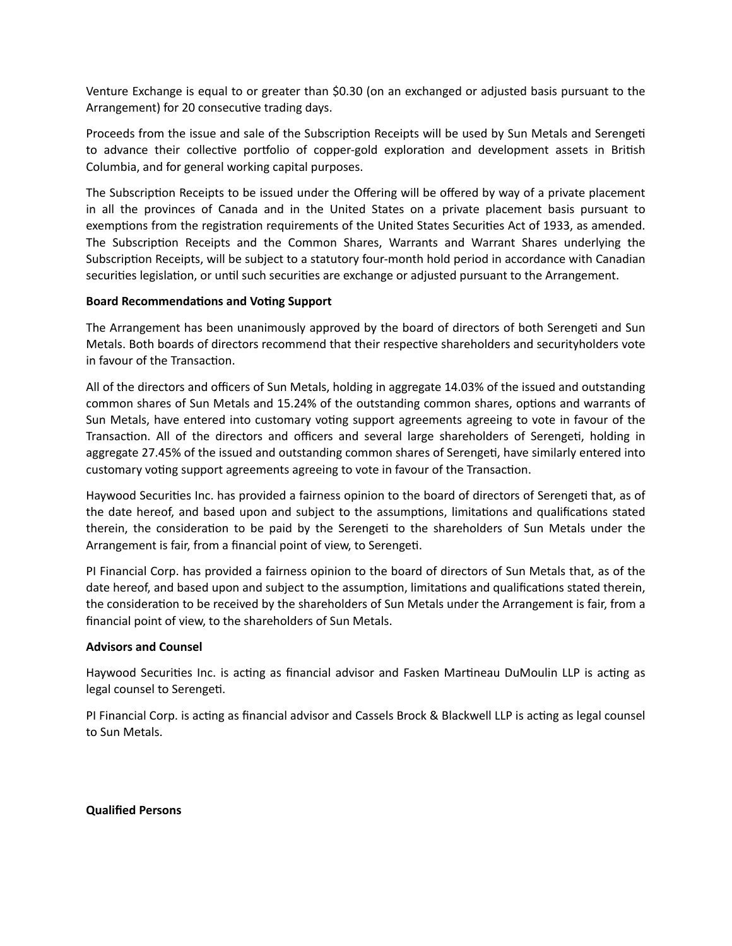Venture Exchange is equal to or greater than \$0.30 (on an exchanged or adjusted basis pursuant to the Arrangement) for 20 consecutive trading days.

Proceeds from the issue and sale of the Subscription Receipts will be used by Sun Metals and Serengeti to advance their collective portfolio of copper-gold exploration and development assets in British Columbia, and for general working capital purposes.

The Subscription Receipts to be issued under the Offering will be offered by way of a private placement in all the provinces of Canada and in the United States on a private placement basis pursuant to exemptions from the registration requirements of the United States Securities Act of 1933, as amended. The Subscription Receipts and the Common Shares, Warrants and Warrant Shares underlying the Subscription Receipts, will be subject to a statutory four-month hold period in accordance with Canadian securities legislation, or until such securities are exchange or adjusted pursuant to the Arrangement.

## **Board Recommendations and Voting Support**

The Arrangement has been unanimously approved by the board of directors of both Serengeti and Sun Metals. Both boards of directors recommend that their respective shareholders and securityholders vote in favour of the Transaction.

All of the directors and officers of Sun Metals, holding in aggregate 14.03% of the issued and outstanding common shares of Sun Metals and 15.24% of the outstanding common shares, options and warrants of Sun Metals, have entered into customary voting support agreements agreeing to vote in favour of the Transaction. All of the directors and officers and several large shareholders of Serengeti, holding in aggregate 27.45% of the issued and outstanding common shares of Serengeti, have similarly entered into customary voting support agreements agreeing to vote in favour of the Transaction.

Haywood Securities Inc. has provided a fairness opinion to the board of directors of Serengeti that, as of the date hereof, and based upon and subject to the assumptions, limitations and qualifications stated therein, the consideration to be paid by the Serengeti to the shareholders of Sun Metals under the Arrangement is fair, from a financial point of view, to Serengeti.

PI Financial Corp. has provided a fairness opinion to the board of directors of Sun Metals that, as of the date hereof, and based upon and subject to the assumption, limitations and qualifications stated therein, the consideration to be received by the shareholders of Sun Metals under the Arrangement is fair, from a financial point of view, to the shareholders of Sun Metals.

# **Advisors and Counsel**

Haywood Securities Inc. is acting as financial advisor and Fasken Martineau DuMoulin LLP is acting as legal counsel to Serengeti.

PI Financial Corp. is acting as financial advisor and Cassels Brock & Blackwell LLP is acting as legal counsel to Sun Metals.

**Qualified Persons**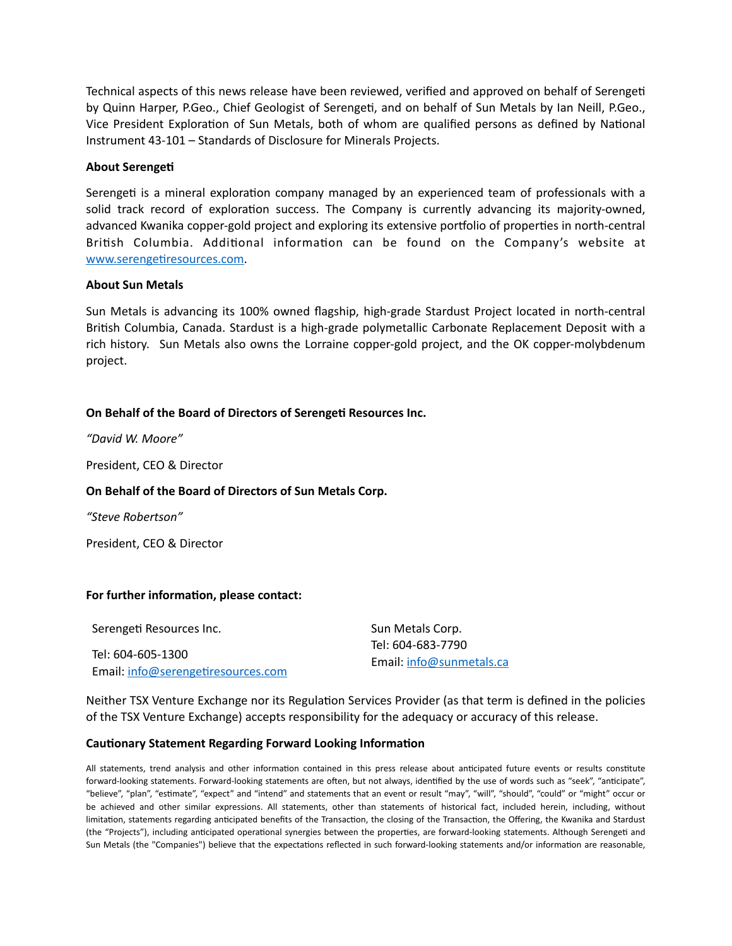Technical aspects of this news release have been reviewed, verified and approved on behalf of Serengeti by Quinn Harper, P.Geo., Chief Geologist of Serengeti, and on behalf of Sun Metals by Ian Neill, P.Geo., Vice President Exploration of Sun Metals, both of whom are qualified persons as defined by National Instrument 43-101 – Standards of Disclosure for Minerals Projects.

#### **About Serengeti**

Serengeti is a mineral exploration company managed by an experienced team of professionals with a solid track record of exploration success. The Company is currently advancing its majority-owned, advanced Kwanika copper-gold project and exploring its extensive portfolio of properties in north-central British Columbia. Additional information can be found on the Company's website at www.serengetiresources.com.

#### **About Sun Metals**

Sun Metals is advancing its 100% owned flagship, high-grade Stardust Project located in north-central British Columbia, Canada. Stardust is a high-grade polymetallic Carbonate Replacement Deposit with a rich history. Sun Metals also owns the Lorraine copper-gold project, and the OK copper-molybdenum project.

## **On Behalf of the Board of Directors of Serengeti Resources Inc.**

*"David W. Moore"* 

President, CEO & Director

# **On Behalf of the Board of Directors of Sun Metals Corp.**

*"Steve Robertson"* 

President, CEO & Director

# For further information, please contact:

| Serengeti Resources Inc.           | Sun Metals Corp.                              |
|------------------------------------|-----------------------------------------------|
| Tel: 604-605-1300                  | Tel: 604-683-7790<br>Email: info@sunmetals.ca |
| Email: info@serengetiresources.com |                                               |

Neither TSX Venture Exchange nor its Regulation Services Provider (as that term is defined in the policies of the TSX Venture Exchange) accepts responsibility for the adequacy or accuracy of this release.

# **Cautionary Statement Regarding Forward Looking Information**

All statements, trend analysis and other information contained in this press release about anticipated future events or results constitute forward-looking statements. Forward-looking statements are often, but not always, identified by the use of words such as "seek", "anticipate", "believe", "plan", "estimate", "expect" and "intend" and statements that an event or result "may", "will", "should", "could" or "might" occur or be achieved and other similar expressions. All statements, other than statements of historical fact, included herein, including, without limitation, statements regarding anticipated benefits of the Transaction, the closing of the Transaction, the Offering, the Kwanika and Stardust (the "Projects"), including anticipated operational synergies between the properties, are forward-looking statements. Although Serengeti and Sun Metals (the "Companies") believe that the expectations reflected in such forward-looking statements and/or information are reasonable,